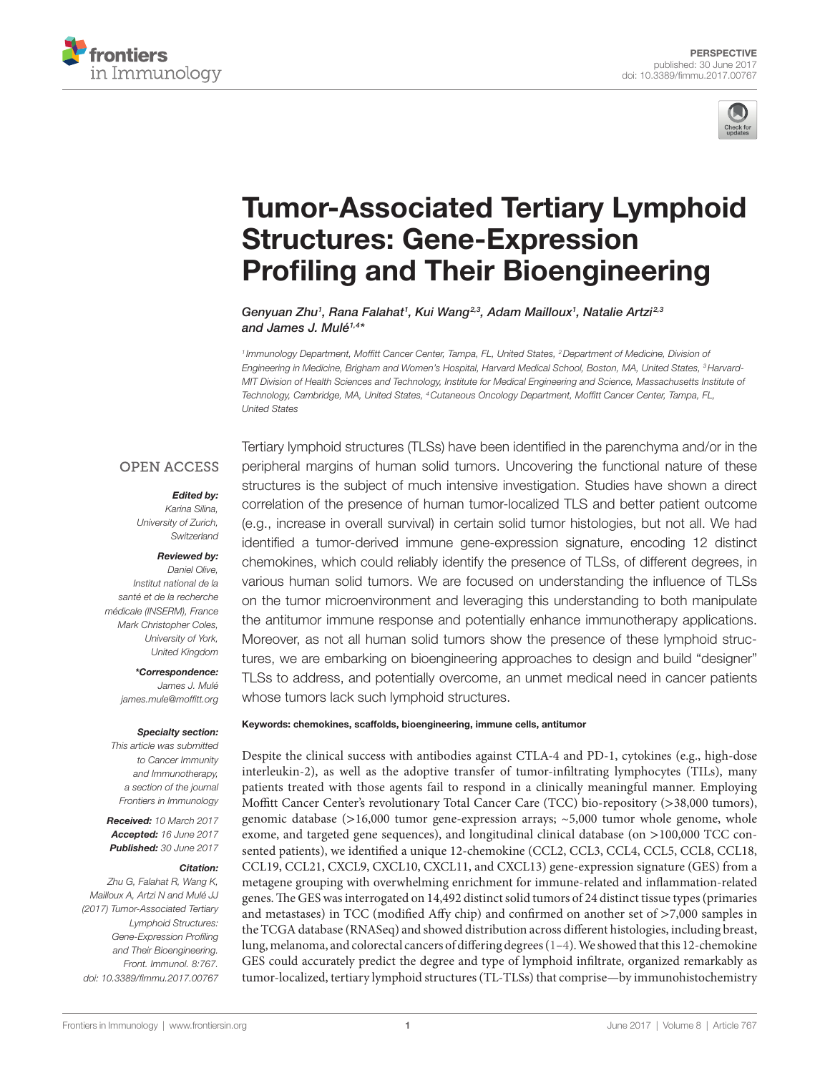



# **Tumor-Associated Tertiary Lymphoid Structures: Gene-Expression Profiling and Their Bioengineering**

*[Genyuan Zhu](http://loop.frontiersin.org/people/445576)1 , [Rana Falahat1](http://loop.frontiersin.org/people/422388) , [Kui Wang2](http://loop.frontiersin.org/people/452662),3, [Adam Mailloux1](http://loop.frontiersin.org/people/452890) , [Natalie Artzi2](http://loop.frontiersin.org/people/445573),3 and [James J. Mulé1](http://loop.frontiersin.org/people/116783),4\**

<sup>1</sup> Immunology Department, Moffitt Cancer Center, Tampa, FL, United States, <sup>2</sup> Department of Medicine, Division of *Engineering in Medicine, Brigham and Women's Hospital, Harvard Medical School, Boston, MA, United States, 3Harvard-MIT Division of Health Sciences and Technology, Institute for Medical Engineering and Science, Massachusetts Institute of Technology, Cambridge, MA, United States, 4Cutaneous Oncology Department, Moffitt Cancer Center, Tampa, FL, United States*

### **OPEN ACCESS**

#### *Edited by:*

*Karina Silina, University of Zurich, Switzerland*

#### *Reviewed by:*

*Daniel Olive, Institut national de la santé et de la recherche médicale (INSERM), France Mark Christopher Coles, University of York, United Kingdom*

> *\*Correspondence: James J. Mulé [james.mule@moffitt.org](mailto:james.mule@moffitt.org)*

#### *Specialty section:*

*This article was submitted to Cancer Immunity and Immunotherapy, a section of the journal Frontiers in Immunology*

*Received: 10 March 2017 Accepted: 16 June 2017 Published: 30 June 2017*

#### *Citation:*

*Zhu G, Falahat R, Wang K, Mailloux A, Artzi N and Mulé JJ (2017) Tumor-Associated Tertiary Lymphoid Structures: Gene-Expression Profiling and Their Bioengineering. Front. Immunol. 8:767. doi: [10.3389/fimmu.2017.00767](https://doi.org/10.3389/fimmu.2017.00767)*

Tertiary lymphoid structures (TLSs) have been identified in the parenchyma and/or in the peripheral margins of human solid tumors. Uncovering the functional nature of these structures is the subject of much intensive investigation. Studies have shown a direct correlation of the presence of human tumor-localized TLS and better patient outcome (e.g., increase in overall survival) in certain solid tumor histologies, but not all. We had identified a tumor-derived immune gene-expression signature, encoding 12 distinct chemokines, which could reliably identify the presence of TLSs, of different degrees, in various human solid tumors. We are focused on understanding the influence of TLSs on the tumor microenvironment and leveraging this understanding to both manipulate the antitumor immune response and potentially enhance immunotherapy applications. Moreover, as not all human solid tumors show the presence of these lymphoid structures, we are embarking on bioengineering approaches to design and build "designer" TLSs to address, and potentially overcome, an unmet medical need in cancer patients whose tumors lack such lymphoid structures.

#### Keywords: chemokines, scaffolds, bioengineering, immune cells, antitumor

Despite the clinical success with antibodies against CTLA-4 and PD-1, cytokines (e.g., high-dose interleukin-2), as well as the adoptive transfer of tumor-infiltrating lymphocytes (TILs), many patients treated with those agents fail to respond in a clinically meaningful manner. Employing Moffitt Cancer Center's revolutionary Total Cancer Care (TCC) bio-repository (>38,000 tumors), genomic database  $(>16,000$  tumor gene-expression arrays;  $\sim 5,000$  tumor whole genome, whole exome, and targeted gene sequences), and longitudinal clinical database (on >100,000 TCC consented patients), we identified a unique 12-chemokine (CCL2, CCL3, CCL4, CCL5, CCL8, CCL18, CCL19, CCL21, CXCL9, CXCL10, CXCL11, and CXCL13) gene-expression signature (GES) from a metagene grouping with overwhelming enrichment for immune-related and inflammation-related genes. The GES was interrogated on 14,492 distinct solid tumors of 24 distinct tissue types (primaries and metastases) in TCC (modified Affy chip) and confirmed on another set of >7,000 samples in the TCGA database (RNASeq) and showed distribution across different histologies, including breast, lung, melanoma, and colorectal cancers of differing degrees [\(1–](#page-3-0)[4](#page-3-1)). We showed that this 12-chemokine GES could accurately predict the degree and type of lymphoid infiltrate, organized remarkably as tumor-localized, tertiary lymphoid structures (TL-TLSs) that comprise—by immunohistochemistry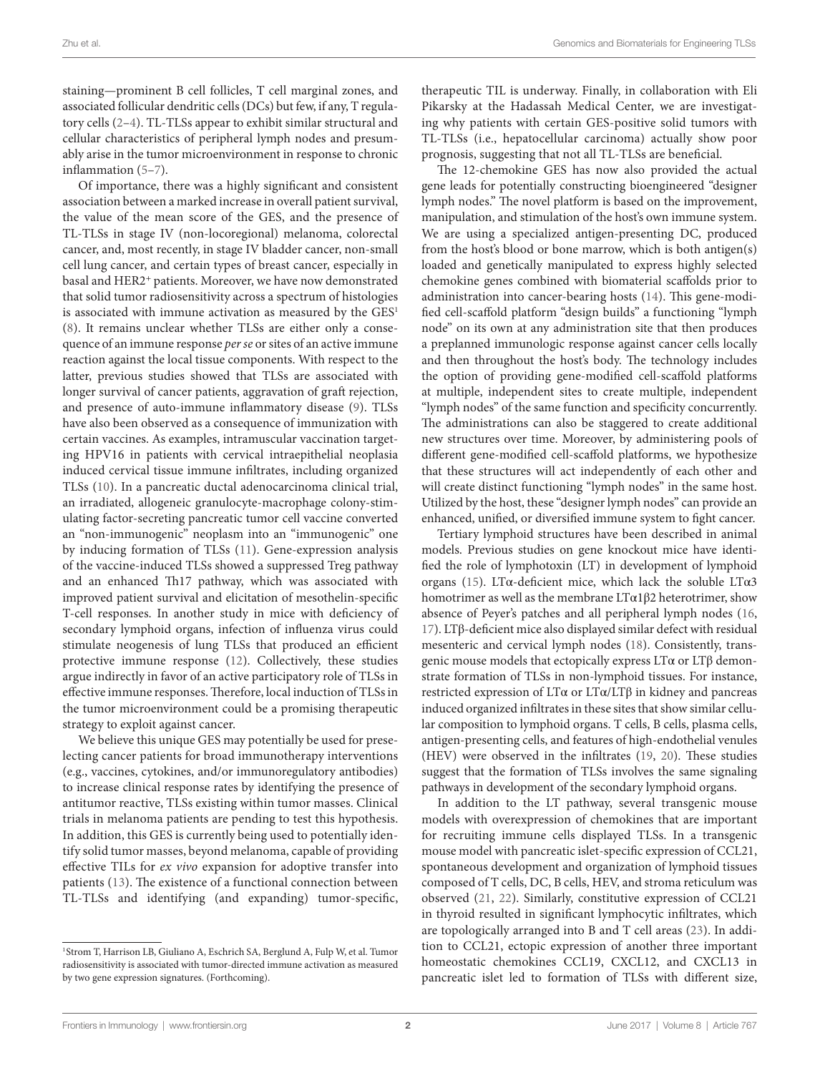staining—prominent B cell follicles, T cell marginal zones, and associated follicular dendritic cells (DCs) but few, if any, T regulatory cells ([2](#page-3-2)[–4\)](#page-3-1). TL-TLSs appear to exhibit similar structural and cellular characteristics of peripheral lymph nodes and presumably arise in the tumor microenvironment in response to chronic inflammation ([5](#page-3-3)[–7\)](#page-3-4).

Of importance, there was a highly significant and consistent association between a marked increase in overall patient survival, the value of the mean score of the GES, and the presence of TL-TLSs in stage IV (non-locoregional) melanoma, colorectal cancer, and, most recently, in stage IV bladder cancer, non-small cell lung cancer, and certain types of breast cancer, especially in basal and HER2<sup>+</sup> patients. Moreover, we have now demonstrated that solid tumor radiosensitivity across a spectrum of histologies is associated with immune activation as measured by the GES<sup>1</sup> ([8](#page-3-5)). It remains unclear whether TLSs are either only a consequence of an immune response *per se* or sites of an active immune reaction against the local tissue components. With respect to the latter, previous studies showed that TLSs are associated with longer survival of cancer patients, aggravation of graft rejection, and presence of auto-immune inflammatory disease ([9](#page-3-6)). TLSs have also been observed as a consequence of immunization with certain vaccines. As examples, intramuscular vaccination targeting HPV16 in patients with cervical intraepithelial neoplasia induced cervical tissue immune infiltrates, including organized TLSs [\(10\)](#page-3-7). In a pancreatic ductal adenocarcinoma clinical trial, an irradiated, allogeneic granulocyte-macrophage colony-stimulating factor-secreting pancreatic tumor cell vaccine converted an "non-immunogenic" neoplasm into an "immunogenic" one by inducing formation of TLSs ([11](#page-3-8)). Gene-expression analysis of the vaccine-induced TLSs showed a suppressed Treg pathway and an enhanced Th17 pathway, which was associated with improved patient survival and elicitation of mesothelin-specific T-cell responses. In another study in mice with deficiency of secondary lymphoid organs, infection of influenza virus could stimulate neogenesis of lung TLSs that produced an efficient protective immune response [\(12](#page-3-9)). Collectively, these studies argue indirectly in favor of an active participatory role of TLSs in effective immune responses. Therefore, local induction of TLSs in the tumor microenvironment could be a promising therapeutic strategy to exploit against cancer.

We believe this unique GES may potentially be used for preselecting cancer patients for broad immunotherapy interventions (e.g., vaccines, cytokines, and/or immunoregulatory antibodies) to increase clinical response rates by identifying the presence of antitumor reactive, TLSs existing within tumor masses. Clinical trials in melanoma patients are pending to test this hypothesis. In addition, this GES is currently being used to potentially identify solid tumor masses, beyond melanoma, capable of providing effective TILs for *ex vivo* expansion for adoptive transfer into patients ([13\)](#page-3-10). The existence of a functional connection between TL-TLSs and identifying (and expanding) tumor-specific,

therapeutic TIL is underway. Finally, in collaboration with Eli Pikarsky at the Hadassah Medical Center, we are investigating why patients with certain GES-positive solid tumors with TL-TLSs (i.e., hepatocellular carcinoma) actually show poor prognosis, suggesting that not all TL-TLSs are beneficial.

The 12-chemokine GES has now also provided the actual gene leads for potentially constructing bioengineered "designer lymph nodes." The novel platform is based on the improvement, manipulation, and stimulation of the host's own immune system. We are using a specialized antigen-presenting DC, produced from the host's blood or bone marrow, which is both antigen(s) loaded and genetically manipulated to express highly selected chemokine genes combined with biomaterial scaffolds prior to administration into cancer-bearing hosts ([14](#page-3-11)). This gene-modified cell-scaffold platform "design builds" a functioning "lymph node" on its own at any administration site that then produces a preplanned immunologic response against cancer cells locally and then throughout the host's body. The technology includes the option of providing gene-modified cell-scaffold platforms at multiple, independent sites to create multiple, independent "lymph nodes" of the same function and specificity concurrently. The administrations can also be staggered to create additional new structures over time. Moreover, by administering pools of different gene-modified cell-scaffold platforms, we hypothesize that these structures will act independently of each other and will create distinct functioning "lymph nodes" in the same host. Utilized by the host, these "designer lymph nodes" can provide an enhanced, unified, or diversified immune system to fight cancer.

Tertiary lymphoid structures have been described in animal models. Previous studies on gene knockout mice have identified the role of lymphotoxin (LT) in development of lymphoid organs ([15\)](#page-3-12). LTα-deficient mice, which lack the soluble LTα3 homotrimer as well as the membrane LTα1β2 heterotrimer, show absence of Peyer's patches and all peripheral lymph nodes ([16,](#page-3-13) [17](#page-3-14)). LTβ-deficient mice also displayed similar defect with residual mesenteric and cervical lymph nodes ([18\)](#page-3-15). Consistently, transgenic mouse models that ectopically express  $LT\alpha$  or  $LT\beta$  demonstrate formation of TLSs in non-lymphoid tissues. For instance, restricted expression of LTα or LTα/LTβ in kidney and pancreas induced organized infiltrates in these sites that show similar cellular composition to lymphoid organs. T cells, B cells, plasma cells, antigen-presenting cells, and features of high-endothelial venules (HEV) were observed in the infiltrates [\(19](#page-3-16), [20](#page-3-17)). These studies suggest that the formation of TLSs involves the same signaling pathways in development of the secondary lymphoid organs.

In addition to the LT pathway, several transgenic mouse models with overexpression of chemokines that are important for recruiting immune cells displayed TLSs. In a transgenic mouse model with pancreatic islet-specific expression of CCL21, spontaneous development and organization of lymphoid tissues composed of T cells, DC, B cells, HEV, and stroma reticulum was observed ([21,](#page-3-18) [22\)](#page-3-19). Similarly, constitutive expression of CCL21 in thyroid resulted in significant lymphocytic infiltrates, which are topologically arranged into B and T cell areas [\(23\)](#page-3-20). In addition to CCL21, ectopic expression of another three important homeostatic chemokines CCL19, CXCL12, and CXCL13 in pancreatic islet led to formation of TLSs with different size,

<span id="page-1-0"></span><sup>&</sup>lt;sup>1</sup> Strom T, Harrison LB, Giuliano A, Eschrich SA, Berglund A, Fulp W, et al. Tumor radiosensitivity is associated with tumor-directed immune activation as measured by two gene expression signatures. (Forthcoming).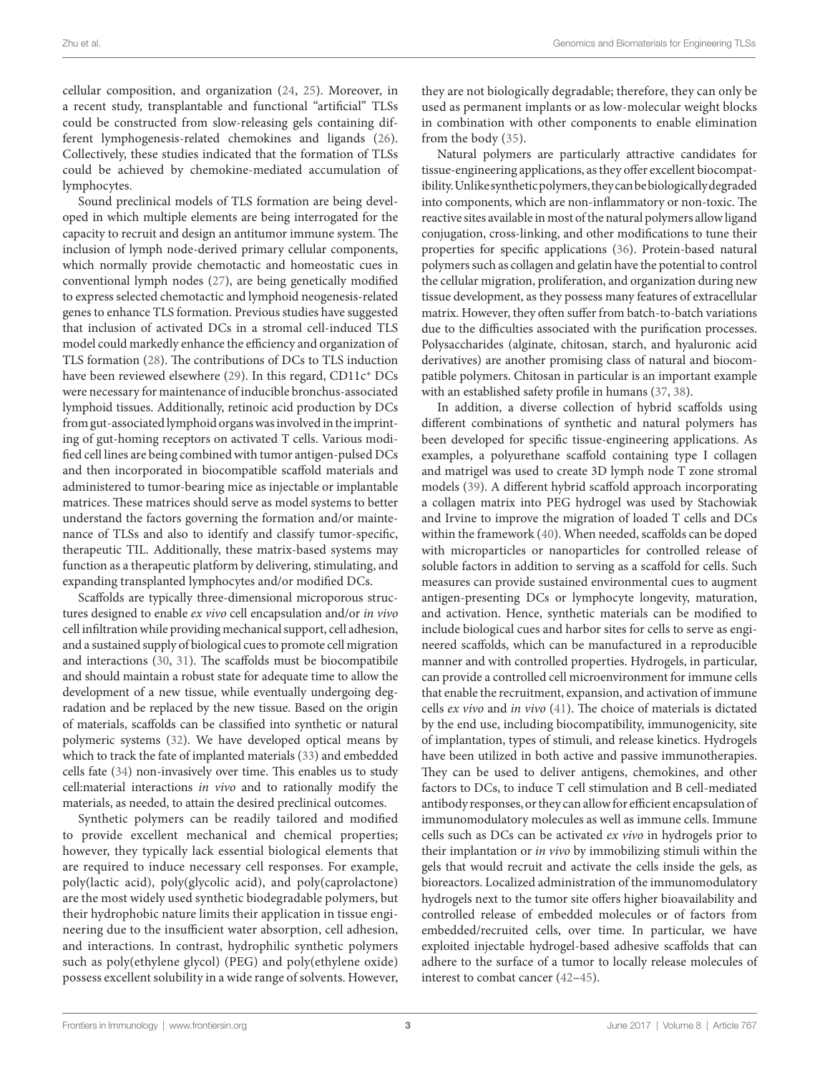cellular composition, and organization ([24](#page-3-21), [25](#page-3-22)). Moreover, in a recent study, transplantable and functional "artificial" TLSs could be constructed from slow-releasing gels containing different lymphogenesis-related chemokines and ligands [\(26\)](#page-3-23). Collectively, these studies indicated that the formation of TLSs could be achieved by chemokine-mediated accumulation of lymphocytes.

Sound preclinical models of TLS formation are being developed in which multiple elements are being interrogated for the capacity to recruit and design an antitumor immune system. The inclusion of lymph node-derived primary cellular components, which normally provide chemotactic and homeostatic cues in conventional lymph nodes [\(27](#page-3-24)), are being genetically modified to express selected chemotactic and lymphoid neogenesis-related genes to enhance TLS formation. Previous studies have suggested that inclusion of activated DCs in a stromal cell-induced TLS model could markedly enhance the efficiency and organization of TLS formation [\(28](#page-3-25)). The contributions of DCs to TLS induction have been reviewed elsewhere ([29\)](#page-3-26). In this regard, CD11c<sup>+</sup> DCs were necessary for maintenance of inducible bronchus-associated lymphoid tissues. Additionally, retinoic acid production by DCs from gut-associated lymphoid organs was involved in the imprinting of gut-homing receptors on activated T cells. Various modified cell lines are being combined with tumor antigen-pulsed DCs and then incorporated in biocompatible scaffold materials and administered to tumor-bearing mice as injectable or implantable matrices. These matrices should serve as model systems to better understand the factors governing the formation and/or maintenance of TLSs and also to identify and classify tumor-specific, therapeutic TIL. Additionally, these matrix-based systems may function as a therapeutic platform by delivering, stimulating, and expanding transplanted lymphocytes and/or modified DCs.

Scaffolds are typically three-dimensional microporous structures designed to enable *ex vivo* cell encapsulation and/or *in vivo* cell infiltration while providing mechanical support, cell adhesion, and a sustained supply of biological cues to promote cell migration and interactions ([30,](#page-3-27) [31](#page-3-28)). The scaffolds must be biocompatibile and should maintain a robust state for adequate time to allow the development of a new tissue, while eventually undergoing degradation and be replaced by the new tissue. Based on the origin of materials, scaffolds can be classified into synthetic or natural polymeric systems ([32\)](#page-3-29). We have developed optical means by which to track the fate of implanted materials [\(33](#page-4-0)) and embedded cells fate ([34\)](#page-4-1) non-invasively over time. This enables us to study cell:material interactions *in vivo* and to rationally modify the materials, as needed, to attain the desired preclinical outcomes.

Synthetic polymers can be readily tailored and modified to provide excellent mechanical and chemical properties; however, they typically lack essential biological elements that are required to induce necessary cell responses. For example, poly(lactic acid), poly(glycolic acid), and poly(caprolactone) are the most widely used synthetic biodegradable polymers, but their hydrophobic nature limits their application in tissue engineering due to the insufficient water absorption, cell adhesion, and interactions. In contrast, hydrophilic synthetic polymers such as poly(ethylene glycol) (PEG) and poly(ethylene oxide) possess excellent solubility in a wide range of solvents. However,

they are not biologically degradable; therefore, they can only be used as permanent implants or as low-molecular weight blocks in combination with other components to enable elimination from the body [\(35\)](#page-4-2).

Natural polymers are particularly attractive candidates for tissue-engineering applications, as they offer excellent biocompatibility. Unlike synthetic polymers, they can be biologically degraded into components, which are non-inflammatory or non-toxic. The reactive sites available in most of the natural polymers allow ligand conjugation, cross-linking, and other modifications to tune their properties for specific applications ([36\)](#page-4-3). Protein-based natural polymers such as collagen and gelatin have the potential to control the cellular migration, proliferation, and organization during new tissue development, as they possess many features of extracellular matrix. However, they often suffer from batch-to-batch variations due to the difficulties associated with the purification processes. Polysaccharides (alginate, chitosan, starch, and hyaluronic acid derivatives) are another promising class of natural and biocompatible polymers. Chitosan in particular is an important example with an established safety profile in humans ([37,](#page-4-4) [38](#page-4-5)).

In addition, a diverse collection of hybrid scaffolds using different combinations of synthetic and natural polymers has been developed for specific tissue-engineering applications. As examples, a polyurethane scaffold containing type I collagen and matrigel was used to create 3D lymph node T zone stromal models [\(39\)](#page-4-6). A different hybrid scaffold approach incorporating a collagen matrix into PEG hydrogel was used by Stachowiak and Irvine to improve the migration of loaded T cells and DCs within the framework [\(40](#page-4-7)). When needed, scaffolds can be doped with microparticles or nanoparticles for controlled release of soluble factors in addition to serving as a scaffold for cells. Such measures can provide sustained environmental cues to augment antigen-presenting DCs or lymphocyte longevity, maturation, and activation. Hence, synthetic materials can be modified to include biological cues and harbor sites for cells to serve as engineered scaffolds, which can be manufactured in a reproducible manner and with controlled properties. Hydrogels, in particular, can provide a controlled cell microenvironment for immune cells that enable the recruitment, expansion, and activation of immune cells *ex vivo* and *in vivo* [\(41\)](#page-4-8). The choice of materials is dictated by the end use, including biocompatibility, immunogenicity, site of implantation, types of stimuli, and release kinetics. Hydrogels have been utilized in both active and passive immunotherapies. They can be used to deliver antigens, chemokines, and other factors to DCs, to induce T cell stimulation and B cell-mediated antibody responses, or they can allow for efficient encapsulation of immunomodulatory molecules as well as immune cells. Immune cells such as DCs can be activated *ex vivo* in hydrogels prior to their implantation or *in vivo* by immobilizing stimuli within the gels that would recruit and activate the cells inside the gels, as bioreactors. Localized administration of the immunomodulatory hydrogels next to the tumor site offers higher bioavailability and controlled release of embedded molecules or of factors from embedded/recruited cells, over time. In particular, we have exploited injectable hydrogel-based adhesive scaffolds that can adhere to the surface of a tumor to locally release molecules of interest to combat cancer [\(42](#page-4-9)[–45](#page-4-10)).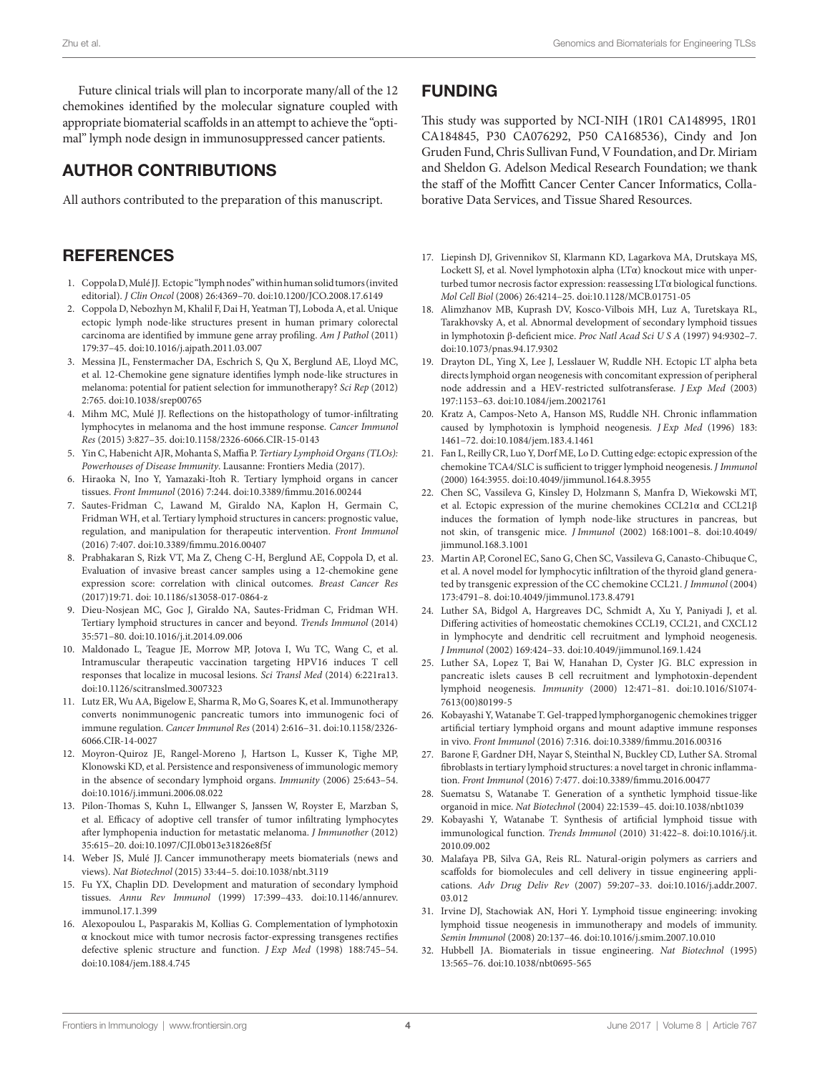Future clinical trials will plan to incorporate many/all of the 12 chemokines identified by the molecular signature coupled with appropriate biomaterial scaffolds in an attempt to achieve the "optimal" lymph node design in immunosuppressed cancer patients.

## AUTHOR CONTRIBUTIONS

All authors contributed to the preparation of this manuscript.

## **REFERENCES**

- <span id="page-3-0"></span>1. Coppola D, Mulé JJ. Ectopic "lymph nodes" within human solid tumors (invited editorial). *J Clin Oncol* (2008) 26:4369–70. doi[:10.1200/JCO.2008.17.6149](https://doi.org/10.1200/JCO.2008.17.6149)
- <span id="page-3-2"></span>2. Coppola D, Nebozhyn M, Khalil F, Dai H, Yeatman TJ, Loboda A, et al. Unique ectopic lymph node-like structures present in human primary colorectal carcinoma are identified by immune gene array profiling. *Am J Pathol* (2011) 179:37–45. doi:[10.1016/j.ajpath.2011.03.007](https://doi.org/10.1016/j.ajpath.2011.03.007)
- 3. Messina JL, Fenstermacher DA, Eschrich S, Qu X, Berglund AE, Lloyd MC, et al. 12-Chemokine gene signature identifies lymph node-like structures in melanoma: potential for patient selection for immunotherapy? *Sci Rep* (2012) 2:765. doi[:10.1038/srep00765](https://doi.org/10.1038/srep00765)
- <span id="page-3-1"></span>4. Mihm MC, Mulé JJ. Reflections on the histopathology of tumor-infiltrating lymphocytes in melanoma and the host immune response. *Cancer Immunol Res* (2015) 3:827–35. doi[:10.1158/2326-6066.CIR-15-0143](https://doi.org/10.1158/2326-6066.CIR-15-0143)
- <span id="page-3-3"></span>5. Yin C, Habenicht AJR, Mohanta S, Maffia P. *Tertiary Lymphoid Organs (TLOs): Powerhouses of Disease Immunity*. Lausanne: Frontiers Media (2017).
- 6. Hiraoka N, Ino Y, Yamazaki-Itoh R. Tertiary lymphoid organs in cancer tissues. *Front Immunol* (2016) 7:244. doi:[10.3389/fimmu.2016.00244](https://doi.org/10.3389/fimmu.2016.00244)
- <span id="page-3-4"></span>7. Sautes-Fridman C, Lawand M, Giraldo NA, Kaplon H, Germain C, Fridman WH, et al. Tertiary lymphoid structures in cancers: prognostic value, regulation, and manipulation for therapeutic intervention. *Front Immunol* (2016) 7:407. doi:[10.3389/fimmu.2016.00407](https://doi.org/10.3389/fimmu.2016.00407)
- <span id="page-3-5"></span>8. Prabhakaran S, Rizk VT, Ma Z, Cheng C-H, Berglund AE, Coppola D, et al. Evaluation of invasive breast cancer samples using a 12-chemokine gene expression score: correlation with clinical outcomes. *Breast Cancer Res* (2017)19:71. doi: [10.1186/s13058-017-0864-z](https://doi.org/10.1186/s13058-017-0864-z)
- <span id="page-3-6"></span>9. Dieu-Nosjean MC, Goc J, Giraldo NA, Sautes-Fridman C, Fridman WH. Tertiary lymphoid structures in cancer and beyond. *Trends Immunol* (2014) 35:571–80. doi:[10.1016/j.it.2014.09.006](https://doi.org/10.1016/j.it.2014.09.006)
- <span id="page-3-7"></span>10. Maldonado L, Teague JE, Morrow MP, Jotova I, Wu TC, Wang C, et al. Intramuscular therapeutic vaccination targeting HPV16 induces T cell responses that localize in mucosal lesions. *Sci Transl Med* (2014) 6:221ra13. doi:[10.1126/scitranslmed.3007323](https://doi.org/10.1126/scitranslmed.3007323)
- <span id="page-3-8"></span>11. Lutz ER, Wu AA, Bigelow E, Sharma R, Mo G, Soares K, et al. Immunotherapy converts nonimmunogenic pancreatic tumors into immunogenic foci of immune regulation. *Cancer Immunol Res* (2014) 2:616–31. doi[:10.1158/2326-](https://doi.org/10.1158/2326-6066.CIR-14-0027) [6066.CIR-14-0027](https://doi.org/10.1158/2326-6066.CIR-14-0027)
- <span id="page-3-9"></span>12. Moyron-Quiroz JE, Rangel-Moreno J, Hartson L, Kusser K, Tighe MP, Klonowski KD, et al. Persistence and responsiveness of immunologic memory in the absence of secondary lymphoid organs. *Immunity* (2006) 25:643–54. doi:[10.1016/j.immuni.2006.08.022](https://doi.org/10.1016/j.immuni.2006.08.022)
- <span id="page-3-10"></span>13. Pilon-Thomas S, Kuhn L, Ellwanger S, Janssen W, Royster E, Marzban S, et al. Efficacy of adoptive cell transfer of tumor infiltrating lymphocytes after lymphopenia induction for metastatic melanoma. *J Immunother* (2012) 35:615–20. doi:[10.1097/CJI.0b013e31826e8f5f](https://doi.org/10.1097/CJI.0b013e31826e8f5f)
- <span id="page-3-11"></span>14. Weber JS, Mulé JJ. Cancer immunotherapy meets biomaterials (news and views). *Nat Biotechnol* (2015) 33:44–5. doi:[10.1038/nbt.3119](https://doi.org/10.1038/nbt.3119)
- <span id="page-3-12"></span>15. Fu YX, Chaplin DD. Development and maturation of secondary lymphoid tissues. *Annu Rev Immunol* (1999) 17:399–433. doi:[10.1146/annurev.](https://doi.org/10.1146/annurev.immunol.17.1.399) [immunol.17.1.399](https://doi.org/10.1146/annurev.immunol.17.1.399)
- <span id="page-3-13"></span>16. Alexopoulou L, Pasparakis M, Kollias G. Complementation of lymphotoxin α knockout mice with tumor necrosis factor-expressing transgenes rectifies defective splenic structure and function. *J Exp Med* (1998) 188:745–54. doi:[10.1084/jem.188.4.745](https://doi.org/10.1084/jem.188.4.745)

## FUNDING

This study was supported by NCI-NIH (1R01 CA148995, 1R01 CA184845, P30 CA076292, P50 CA168536), Cindy and Jon Gruden Fund, Chris Sullivan Fund, V Foundation, and Dr. Miriam and Sheldon G. Adelson Medical Research Foundation; we thank the staff of the Moffitt Cancer Center Cancer Informatics, Collaborative Data Services, and Tissue Shared Resources.

- <span id="page-3-14"></span>17. Liepinsh DJ, Grivennikov SI, Klarmann KD, Lagarkova MA, Drutskaya MS, Lockett SJ, et al. Novel lymphotoxin alpha ( $LT\alpha$ ) knockout mice with unperturbed tumor necrosis factor expression: reassessing LTα biological functions. *Mol Cell Biol* (2006) 26:4214–25. doi[:10.1128/MCB.01751-05](https://doi.org/10.1128/MCB.01751-05)
- <span id="page-3-15"></span>18. Alimzhanov MB, Kuprash DV, Kosco-Vilbois MH, Luz A, Turetskaya RL, Tarakhovsky A, et al. Abnormal development of secondary lymphoid tissues in lymphotoxin β-deficient mice. *Proc Natl Acad Sci U S A* (1997) 94:9302–7. doi:[10.1073/pnas.94.17.9302](https://doi.org/10.1073/pnas.94.17.9302)
- <span id="page-3-16"></span>19. Drayton DL, Ying X, Lee J, Lesslauer W, Ruddle NH. Ectopic LT alpha beta directs lymphoid organ neogenesis with concomitant expression of peripheral node addressin and a HEV-restricted sulfotransferase. *J Exp Med* (2003) 197:1153–63. doi:[10.1084/jem.20021761](https://doi.org/10.1084/jem.20021761)
- <span id="page-3-17"></span>20. Kratz A, Campos-Neto A, Hanson MS, Ruddle NH. Chronic inflammation caused by lymphotoxin is lymphoid neogenesis. *J Exp Med* (1996) 183: 1461–72. doi[:10.1084/jem.183.4.1461](https://doi.org/10.1084/jem.183.4.1461)
- <span id="page-3-18"></span>21. Fan L, Reilly CR, Luo Y, Dorf ME, Lo D. Cutting edge: ectopic expression of the chemokine TCA4/SLC is sufficient to trigger lymphoid neogenesis. *J Immunol* (2000) 164:3955. doi[:10.4049/jimmunol.164.8.3955](https://doi.org/10.4049/jimmunol.164.8.3955)
- <span id="page-3-19"></span>22. Chen SC, Vassileva G, Kinsley D, Holzmann S, Manfra D, Wiekowski MT, et al. Ectopic expression of the murine chemokines CCL21α and CCL21β induces the formation of lymph node-like structures in pancreas, but not skin, of transgenic mice. *J Immunol* (2002) 168:1001–8. doi[:10.4049/](https://doi.org/10.4049/jimmunol.168.3.1001) [jimmunol.168.3.1001](https://doi.org/10.4049/jimmunol.168.3.1001)
- <span id="page-3-20"></span>23. Martin AP, Coronel EC, Sano G, Chen SC, Vassileva G, Canasto-Chibuque C, et al. A novel model for lymphocytic infiltration of the thyroid gland generated by transgenic expression of the CC chemokine CCL21. *J Immunol* (2004) 173:4791–8. doi[:10.4049/jimmunol.173.8.4791](https://doi.org/10.4049/jimmunol.173.8.4791)
- <span id="page-3-21"></span>24. Luther SA, Bidgol A, Hargreaves DC, Schmidt A, Xu Y, Paniyadi J, et al. Differing activities of homeostatic chemokines CCL19, CCL21, and CXCL12 in lymphocyte and dendritic cell recruitment and lymphoid neogenesis. *J Immunol* (2002) 169:424–33. doi[:10.4049/jimmunol.169.1.424](https://doi.org/10.4049/jimmunol.169.1.424)
- <span id="page-3-22"></span>25. Luther SA, Lopez T, Bai W, Hanahan D, Cyster JG. BLC expression in pancreatic islets causes B cell recruitment and lymphotoxin-dependent lymphoid neogenesis. *Immunity* (2000) 12:471–81. doi:[10.1016/S1074-](https://doi.org/10.1016/S1074-7613(00)80199-5) [7613\(00\)80199-5](https://doi.org/10.1016/S1074-7613(00)80199-5)
- <span id="page-3-23"></span>26. Kobayashi Y, Watanabe T. Gel-trapped lymphorganogenic chemokines trigger artificial tertiary lymphoid organs and mount adaptive immune responses in vivo. *Front Immunol* (2016) 7:316. doi[:10.3389/fimmu.2016.00316](https://doi.org/10.3389/fimmu.2016.00316)
- <span id="page-3-24"></span>27. Barone F, Gardner DH, Nayar S, Steinthal N, Buckley CD, Luther SA. Stromal fibroblasts in tertiary lymphoid structures: a novel target in chronic inflammation. *Front Immunol* (2016) 7:477. doi[:10.3389/fimmu.2016.00477](https://doi.org/10.3389/fimmu.2016.00477)
- <span id="page-3-25"></span>28. Suematsu S, Watanabe T. Generation of a synthetic lymphoid tissue-like organoid in mice. *Nat Biotechnol* (2004) 22:1539–45. doi:[10.1038/nbt1039](https://doi.org/10.1038/nbt1039)
- <span id="page-3-26"></span>29. Kobayashi Y, Watanabe T. Synthesis of artificial lymphoid tissue with immunological function. *Trends Immunol* (2010) 31:422–8. doi:[10.1016/j.it.](https://doi.org/10.1016/j.it.
2010.09.002) [2010.09.002](https://doi.org/10.1016/j.it.
2010.09.002)
- <span id="page-3-27"></span>30. Malafaya PB, Silva GA, Reis RL. Natural-origin polymers as carriers and scaffolds for biomolecules and cell delivery in tissue engineering applications. *Adv Drug Deliv Rev* (2007) 59:207–33. doi[:10.1016/j.addr.2007.](https://doi.org/10.1016/j.addr.2007.03.012) [03.012](https://doi.org/10.1016/j.addr.2007.03.012)
- <span id="page-3-28"></span>31. Irvine DJ, Stachowiak AN, Hori Y. Lymphoid tissue engineering: invoking lymphoid tissue neogenesis in immunotherapy and models of immunity. *Semin Immunol* (2008) 20:137–46. doi:[10.1016/j.smim.2007.10.010](https://doi.org/10.1016/j.smim.2007.10.010)
- <span id="page-3-29"></span>32. Hubbell JA. Biomaterials in tissue engineering. *Nat Biotechnol* (1995) 13:565–76. doi:[10.1038/nbt0695-565](https://doi.org/10.1038/nbt0695-565)